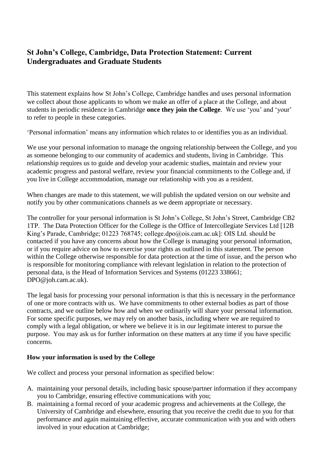# **St John's College, Cambridge, Data Protection Statement: Current Undergraduates and Graduate Students**

This statement explains how St John's College, Cambridge handles and uses personal information we collect about those applicants to whom we make an offer of a place at the College, and about students in periodic residence in Cambridge **once they join the College**. We use 'you' and 'your' to refer to people in these categories.

'Personal information' means any information which relates to or identifies you as an individual.

We use your personal information to manage the ongoing relationship between the College, and you as someone belonging to our community of academics and students, living in Cambridge. This relationship requires us to guide and develop your academic studies, maintain and review your academic progress and pastoral welfare, review your financial commitments to the College and, if you live in College accommodation, manage our relationship with you as a resident.

When changes are made to this statement, we will publish the updated version on our website and notify you by other communications channels as we deem appropriate or necessary.

The controller for your personal information is St John's College, St John's Street, Cambridge CB2 1TP. The Data Protection Officer for the College is the Office of Intercollegiate Services Ltd [12B King's Parade, Cambridge; 01223 768745; college.dpo@ois.cam.ac.uk]: OIS Ltd. should be contacted if you have any concerns about how the College is managing your personal information, or if you require advice on how to exercise your rights as outlined in this statement. The person within the College otherwise responsible for data protection at the time of issue, and the person who is responsible for monitoring compliance with relevant legislation in relation to the protection of personal data, is the Head of Information Services and Systems (01223 338661; DPO@joh.cam.ac.uk).

The legal basis for processing your personal information is that this is necessary in the performance of one or more contracts with us. We have commitments to other external bodies as part of those contracts, and we outline below how and when we ordinarily will share your personal information. For some specific purposes, we may rely on another basis, including where we are required to comply with a legal obligation, or where we believe it is in our legitimate interest to pursue the purpose. You may ask us for further information on these matters at any time if you have specific concerns.

#### **How your information is used by the College**

We collect and process your personal information as specified below:

- A. maintaining your personal details, including basic spouse/partner information if they accompany you to Cambridge, ensuring effective communications with you;
- B. maintaining a formal record of your academic progress and achievements at the College, the University of Cambridge and elsewhere, ensuring that you receive the credit due to you for that performance and again maintaining effective, accurate communication with you and with others involved in your education at Cambridge;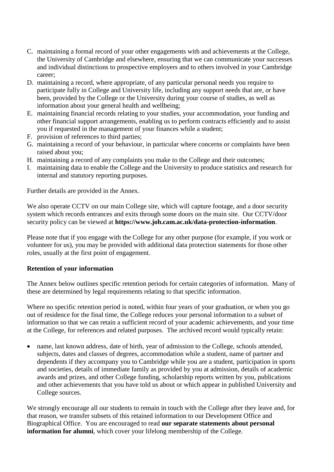- C. maintaining a formal record of your other engagements with and achievements at the College, the University of Cambridge and elsewhere, ensuring that we can communicate your successes and individual distinctions to prospective employers and to others involved in your Cambridge career;
- D. maintaining a record, where appropriate, of any particular personal needs you require to participate fully in College and University life, including any support needs that are, or have been, provided by the College or the University during your course of studies, as well as information about your general health and wellbeing;
- E. maintaining financial records relating to your studies, your accommodation, your funding and other financial support arrangements, enabling us to perform contracts efficiently and to assist you if requested in the management of your finances while a student;
- F. provision of references to third parties;
- G. maintaining a record of your behaviour, in particular where concerns or complaints have been raised about you;
- H. maintaining a record of any complaints you make to the College and their outcomes;
- I. maintaining data to enable the College and the University to produce statistics and research for internal and statutory reporting purposes.

Further details are provided in the Annex.

We also operate CCTV on our main College site, which will capture footage, and a door security system which records entrances and exits through some doors on the main site. Our CCTV/door security policy can be viewed at **https://www.joh.cam.ac.uk/data-protection-information**.

Please note that if you engage with the College for any other purpose (for example, if you work or volunteer for us), you may be provided with additional data protection statements for those other roles, usually at the first point of engagement.

#### **Retention of your information**

The Annex below outlines specific retention periods for certain categories of information. Many of these are determined by legal requirements relating to that specific information.

Where no specific retention period is noted, within four years of your graduation, or when you go out of residence for the final time, the College reduces your personal information to a subset of information so that we can retain a sufficient record of your academic achievements, and your time at the College, for references and related purposes. The archived record would typically retain:

 name, last known address, date of birth, year of admission to the College, schools attended, subjects, dates and classes of degrees, accommodation while a student, name of partner and dependents if they accompany you to Cambridge while you are a student, participation in sports and societies, details of immediate family as provided by you at admission, details of academic awards and prizes, and other College funding, scholarship reports written by you, publications and other achievements that you have told us about or which appear in published University and College sources.

We strongly encourage all our students to remain in touch with the College after they leave and, for that reason, we transfer subsets of this retained information to our Development Office and Biographical Office. You are encouraged to read **our separate statements about personal information for alumni**, which cover your lifelong membership of the College.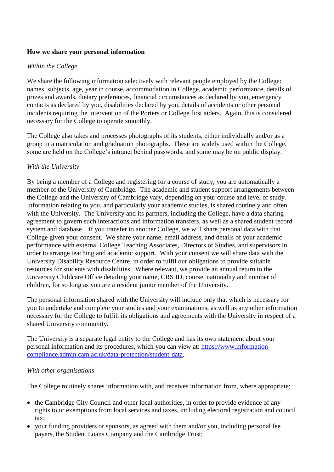## **How we share your personal information**

## *Within the College*

We share the following information selectively with relevant people employed by the College: names, subjects, age, year in course, accommodation in College, academic performance, details of prizes and awards, dietary preferences, financial circumstances as declared by you, emergency contacts as declared by you, disabilities declared by you, details of accidents or other personal incidents requiring the intervention of the Porters or College first aiders. Again, this is considered necessary for the College to operate smoothly.

The College also takes and processes photographs of its students, either individually and/or as a group in a matriculation and graduation photographs. These are widely used within the College, some are held on the College's intranet behind passwords, and some may be on public display.

#### *With the University*

By being a member of a College and registering for a course of study, you are automatically a member of the University of Cambridge. The academic and student support arrangements between the College and the University of Cambridge vary, depending on your course and level of study. Information relating to you, and particularly your academic studies, is shared routinely and often with the University. The University and its partners, including the College, have a data sharing agreement to govern such interactions and information transfers, as well as a shared student record system and database. If you transfer to another College, we will share personal data with that College given your consent. We share your name, email address, and details of your academic performance with external College Teaching Associates, Directors of Studies, and supervisors in order to arrange teaching and academic support. With your consent we will share data with the University Disability Resource Centre, in order to fulfil our obligations to provide suitable resources for students with disabilities. Where relevant, we provide an annual return to the University Childcare Office detailing your name, CRS ID, course, nationality and number of children, for so long as you are a resident junior member of the University.

The personal information shared with the University will include only that which is necessary for you to undertake and complete your studies and your examinations, as well as any other information necessary for the College to fulfill its obligations and agreements with the University in respect of a shared University community.

The University is a separate legal entity to the College and has its own statement about your personal information and its procedures, which you can view at: [https://www.information](https://www.information-compliance.admin.cam.ac.uk/data-protection/student-data)[compliance.admin.cam.ac.uk/data-protection/student-data.](https://www.information-compliance.admin.cam.ac.uk/data-protection/student-data)

#### *With other organisations*

The College routinely shares information with, and receives information from, where appropriate:

- the Cambridge City Council and other local authorities, in order to provide evidence of any rights to or exemptions from local services and taxes, including electoral registration and council tax;
- your funding providers or sponsors, as agreed with them and/or you, including personal fee payers, the Student Loans Company and the Cambridge Trust;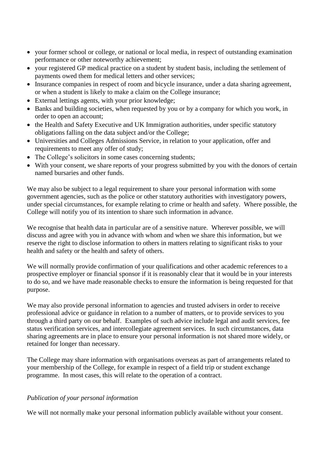- your former school or college, or national or local media, in respect of outstanding examination performance or other noteworthy achievement;
- your registered GP medical practice on a student by student basis, including the settlement of payments owed them for medical letters and other services;
- Insurance companies in respect of room and bicycle insurance, under a data sharing agreement, or when a student is likely to make a claim on the College insurance;
- External lettings agents, with your prior knowledge;
- Banks and building societies, when requested by you or by a company for which you work, in order to open an account;
- the Health and Safety Executive and UK Immigration authorities, under specific statutory obligations falling on the data subject and/or the College;
- Universities and Colleges Admissions Service, in relation to your application, offer and requirements to meet any offer of study;
- The College's solicitors in some cases concerning students;
- With your consent, we share reports of your progress submitted by you with the donors of certain named bursaries and other funds.

We may also be subject to a legal requirement to share your personal information with some government agencies, such as the police or other statutory authorities with investigatory powers, under special circumstances, for example relating to crime or health and safety. Where possible, the College will notify you of its intention to share such information in advance.

We recognise that health data in particular are of a sensitive nature. Wherever possible, we will discuss and agree with you in advance with whom and when we share this information, but we reserve the right to disclose information to others in matters relating to significant risks to your health and safety or the health and safety of others.

We will normally provide confirmation of your qualifications and other academic references to a prospective employer or financial sponsor if it is reasonably clear that it would be in your interests to do so, and we have made reasonable checks to ensure the information is being requested for that purpose.

We may also provide personal information to agencies and trusted advisers in order to receive professional advice or guidance in relation to a number of matters, or to provide services to you through a third party on our behalf. Examples of such advice include legal and audit services, fee status verification services, and intercollegiate agreement services. In such circumstances, data sharing agreements are in place to ensure your personal information is not shared more widely, or retained for longer than necessary.

The College may share information with organisations overseas as part of arrangements related to your membership of the College, for example in respect of a field trip or student exchange programme. In most cases, this will relate to the operation of a contract.

#### *Publication of your personal information*

We will not normally make your personal information publicly available without your consent.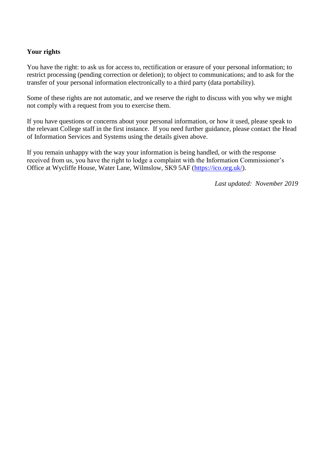#### **Your rights**

You have the right: to ask us for access to, rectification or erasure of your personal information; to restrict processing (pending correction or deletion); to object to communications; and to ask for the transfer of your personal information electronically to a third party (data portability).

Some of these rights are not automatic, and we reserve the right to discuss with you why we might not comply with a request from you to exercise them.

If you have questions or concerns about your personal information, or how it used, please speak to the relevant College staff in the first instance. If you need further guidance, please contact the Head of Information Services and Systems using the details given above.

If you remain unhappy with the way your information is being handled, or with the response received from us, you have the right to lodge a complaint with the Information Commissioner's Office at Wycliffe House, Water Lane, Wilmslow, SK9 5AF [\(https://ico.org.uk/\)](https://ico.org.uk/).

*Last updated: November 2019*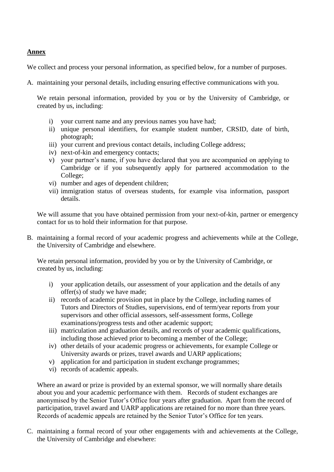#### **Annex**

We collect and process your personal information, as specified below, for a number of purposes.

A. maintaining your personal details, including ensuring effective communications with you.

We retain personal information, provided by you or by the University of Cambridge, or created by us, including:

- i) your current name and any previous names you have had;
- ii) unique personal identifiers, for example student number, CRSID, date of birth, photograph;
- iii) your current and previous contact details, including College address;
- iv) next-of-kin and emergency contacts;
- v) your partner's name, if you have declared that you are accompanied on applying to Cambridge or if you subsequently apply for partnered accommodation to the College;
- vi) number and ages of dependent children;
- vii) immigration status of overseas students, for example visa information, passport details.

We will assume that you have obtained permission from your next-of-kin, partner or emergency contact for us to hold their information for that purpose.

B. maintaining a formal record of your academic progress and achievements while at the College, the University of Cambridge and elsewhere.

We retain personal information, provided by you or by the University of Cambridge, or created by us, including:

- i) your application details, our assessment of your application and the details of any offer(s) of study we have made;
- ii) records of academic provision put in place by the College, including names of Tutors and Directors of Studies, supervisions, end of term/year reports from your supervisors and other official assessors, self-assessment forms, College examinations/progress tests and other academic support;
- iii) matriculation and graduation details, and records of your academic qualifications, including those achieved prior to becoming a member of the College;
- iv) other details of your academic progress or achievements, for example College or University awards or prizes, travel awards and UARP applications;
- v) application for and participation in student exchange programmes;
- vi) records of academic appeals.

Where an award or prize is provided by an external sponsor, we will normally share details about you and your academic performance with them. Records of student exchanges are anonymised by the Senior Tutor's Office four years after graduation. Apart from the record of participation, travel award and UARP applications are retained for no more than three years. Records of academic appeals are retained by the Senior Tutor's Office for ten years.

C. maintaining a formal record of your other engagements with and achievements at the College, the University of Cambridge and elsewhere: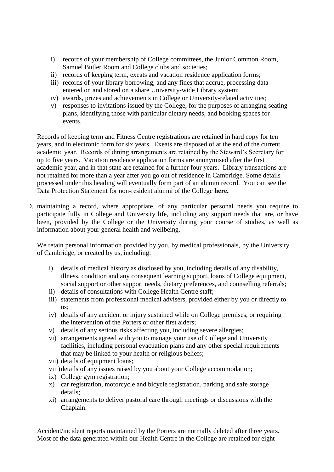- i) records of your membership of College committees, the Junior Common Room, Samuel Butler Room and College clubs and societies;
- ii) records of keeping term, exeats and vacation residence application forms;
- iii) records of your library borrowing, and any fines that accrue, processing data entered on and stored on a share University-wide Library system;
- iv) awards, prizes and achievements in College or University-related activities;
- v) responses to invitations issued by the College, for the purposes of arranging seating plans, identifying those with particular dietary needs, and booking spaces for events.

Records of keeping term and Fitness Centre registrations are retained in hard copy for ten years, and in electronic form for six years. Exeats are disposed of at the end of the current academic year. Records of dining arrangements are retained by the Steward's Secretary for up to five years. Vacation residence application forms are anonymised after the first academic year, and in that state are retained for a further four years. Library transactions are not retained for more than a year after you go out of residence in Cambridge. Some details processed under this heading will eventually form part of an alumni record. You can see the Data Protection Statement for non-resident alumni of the College **here.**

D. maintaining a record, where appropriate, of any particular personal needs you require to participate fully in College and University life, including any support needs that are, or have been, provided by the College or the University during your course of studies, as well as information about your general health and wellbeing.

We retain personal information provided by you, by medical professionals, by the University of Cambridge, or created by us, including:

- i) details of medical history as disclosed by you, including details of any disability, illness, condition and any consequent learning support, loans of College equipment, social support or other support needs, dietary preferences, and counselling referrals;
- ii) details of consultations with College Health Centre staff;
- iii) statements from professional medical advisers, provided either by you or directly to us;
- iv) details of any accident or injury sustained while on College premises, or requiring the intervention of the Porters or other first aiders;
- v) details of any serious risks affecting you, including severe allergies;
- vi) arrangements agreed with you to manage your use of College and University facilities, including personal evacuation plans and any other special requirements that may be linked to your health or religious beliefs;
- vii) details of equipment loans;
- viii)details of any issues raised by you about your College accommodation;
- ix) College gym registration;
- x) car registration, motorcycle and bicycle registration, parking and safe storage details;
- xi) arrangements to deliver pastoral care through meetings or discussions with the Chaplain.

Accident/incident reports maintained by the Porters are normally deleted after three years. Most of the data generated within our Health Centre in the College are retained for eight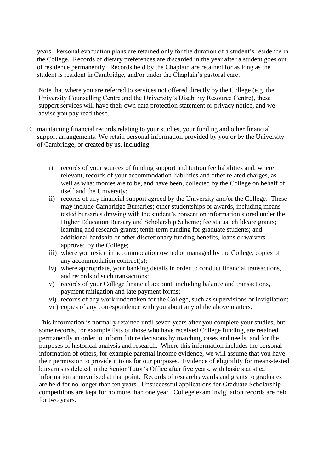years. Personal evacuation plans are retained only for the duration of a student's residence in the College. Records of dietary preferences are discarded in the year after a student goes out of residence permanently Records held by the Chaplain are retained for as long as the student is resident in Cambridge, and/or under the Chaplain's pastoral care.

Note that where you are referred to services not offered directly by the College (e.g. the University Counselling Centre and the University's Disability Resource Centre), these support services will have their own data protection statement or privacy notice, and we advise you pay read these.

- E. maintaining financial records relating to your studies, your funding and other financial support arrangements. We retain personal information provided by you or by the University of Cambridge, or created by us, including:
	- i) records of your sources of funding support and tuition fee liabilities and, where relevant, records of your accommodation liabilities and other related charges, as well as what monies are to be, and have been, collected by the College on behalf of itself and the University;
	- ii) records of any financial support agreed by the University and/or the College. These may include Cambridge Bursaries; other studentships or awards, including meanstested bursaries drawing with the student's consent on information stored under the Higher Education Bursary and Scholarship Scheme; fee status; childcare grants; learning and research grants; tenth-term funding for graduate students; and additional hardship or other discretionary funding benefits, loans or waivers approved by the College;
	- iii) where you reside in accommodation owned or managed by the College, copies of any accommodation contract(s);
	- iv) where appropriate, your banking details in order to conduct financial transactions, and records of such transactions;
	- v) records of your College financial account, including balance and transactions, payment mitigation and late payment forms;
	- vi) records of any work undertaken for the College, such as supervisions or invigilation;
	- vii) copies of any correspondence with you about any of the above matters.

This information is normally retained until seven years after you complete your studies, but some records, for example lists of those who have received College funding, are retained permanently in order to inform future decisions by matching cases and needs, and for the purposes of historical analysis and research. Where this information includes the personal information of others, for example parental income evidence, we will assume that you have their permission to provide it to us for our purposes. Evidence of eligibility for means-tested bursaries is deleted in the Senior Tutor's Office after five years, with basic statistical information anonymised at that point. Records of research awards and grants to graduates are held for no longer than ten years. Unsuccessful applications for Graduate Scholarship competitions are kept for no more than one year. College exam invigilation records are held for two years.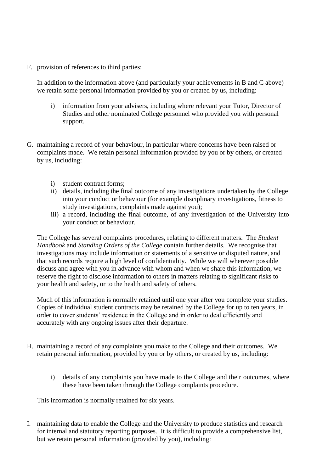F. provision of references to third parties:

In addition to the information above (and particularly your achievements in B and C above) we retain some personal information provided by you or created by us, including:

- i) information from your advisers, including where relevant your Tutor, Director of Studies and other nominated College personnel who provided you with personal support.
- G. maintaining a record of your behaviour, in particular where concerns have been raised or complaints made. We retain personal information provided by you or by others, or created by us, including:
	- i) student contract forms;
	- ii) details, including the final outcome of any investigations undertaken by the College into your conduct or behaviour (for example disciplinary investigations, fitness to study investigations, complaints made against you);
	- iii) a record, including the final outcome, of any investigation of the University into your conduct or behaviour.

The College has several complaints procedures, relating to different matters. The *Student Handbook* and *Standing Orders of the College* contain further details. We recognise that investigations may include information or statements of a sensitive or disputed nature, and that such records require a high level of confidentiality. While we will wherever possible discuss and agree with you in advance with whom and when we share this information, we reserve the right to disclose information to others in matters relating to significant risks to your health and safety, or to the health and safety of others.

Much of this information is normally retained until one year after you complete your studies. Copies of individual student contracts may be retained by the College for up to ten years, in order to cover students' residence in the College and in order to deal efficiently and accurately with any ongoing issues after their departure.

- H. maintaining a record of any complaints you make to the College and their outcomes. We retain personal information, provided by you or by others, or created by us, including:
	- i) details of any complaints you have made to the College and their outcomes, where these have been taken through the College complaints procedure.

This information is normally retained for six years.

I. maintaining data to enable the College and the University to produce statistics and research for internal and statutory reporting purposes. It is difficult to provide a comprehensive list, but we retain personal information (provided by you), including: